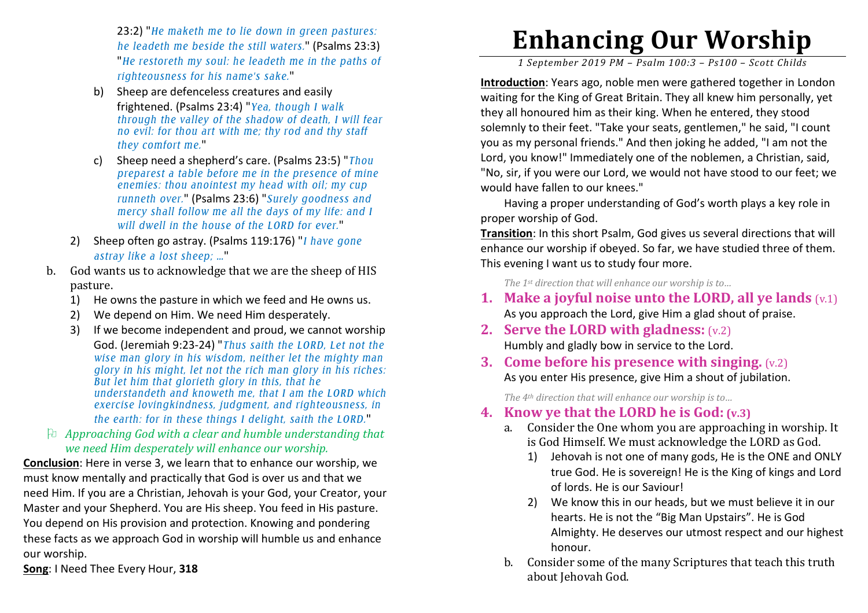23:2) "*He maketh me to lie down in green pastures: he leadeth me beside the still waters.*" (Psalms 23:3) "*He restoreth my soul: he leadeth me in the paths ofrighteousness for his name's sake.*"

- b) Sheep are defenceless creatures and easily frightened. (Psalms 23:4) "*Yea, though I walk through the valley of the shadow of death, I will fear no evil: for thou art with me; thy rod and thy staff they comfort me.*"
- c) Sheep need a shepherd's care. (Psalms 23:5) "*Thou preparest a table before me in the presence of mineenemies: thou anointest my head with oil; my cup runneth over.*" (Psalms 23:6) "*Surely goodness and mercy shall follow me all the days of my life: and I will dwell in the house of the LORD for ever.*"
- 2) Sheep often go astray. (Psalms 119:176) "*I have gone astray like a lost sheep; …*"
- b. God wants us to acknowledge that we are the sheep of HIS pasture.
	- 1) He owns the pasture in which we feed and He owns us.
	- 2)We depend on Him. We need Him desperately.
	- 3) If we become independent and proud, we cannot worship God. (Jeremiah 9:23-24) "*Thus saith the LORD, Let not the wise man glory in his wisdom, neither let the mighty man glory in his might, let not the rich man glory in his riches: But let him that glorieth glory in this, that he understandeth and knoweth me, that I am the LORD which exercise lovingkindness, judgment, and righteousness, in the earth: for in these things I delight, saith the LORD.*"
- *Approaching God with a clear and humble understanding that we need Him desperately will enhance our worship.*

**Conclusion**: Here in verse 3, we learn that to enhance our worship, we must know mentally and practically that God is over us and that we need Him. If you are a Christian, Jehovah is your God, your Creator, your Master and your Shepherd. You are His sheep. You feed in His pasture. You depend on His provision and protection. Knowing and pondering these facts as we approach God in worship will humble us and enhance our worship.

**Song**: I Need Thee Every Hour, **318** 

# **Enhancing Our Worship**

*1 September 2019 PM – Psalm 100:3 – Ps100 – Scott Childs* 

**Introduction**: Years ago, noble men were gathered together in London waiting for the King of Great Britain. They all knew him personally, yet they all honoured him as their king. When he entered, they stood solemnly to their feet. "Take your seats, gentlemen," he said, "I count you as my personal friends." And then joking he added, "I am not the Lord, you know!" Immediately one of the noblemen, a Christian, said, "No, sir, if you were our Lord, we would not have stood to our feet; we would have fallen to our knees."

 Having a proper understanding of God's worth plays a key role in proper worship of God.

**Transition**: In this short Psalm, God gives us several directions that will enhance our worship if obeyed. So far, we have studied three of them. This evening I want us to study four more.

*The 1st direction that will enhance our worship is to…* 

- **1. Make a joyful noise unto the LORD, all ye lands** (v.1)As you approach the Lord, give Him a glad shout of praise.
- **2. Serve the LORD with gladness:** (v.2)Humbly and gladly bow in service to the Lord.
- **3. Come before his presence with singing.** (v.2)As you enter His presence, give Him a shout of jubilation.

*The 4th direction that will enhance our worship is to…* 

## **4. Know ye that the LORD he is God: (v.3)**

- a. Consider the One whom you are approaching in worship. It is God Himself. We must acknowledge the LORD as God.
	- 1) Jehovah is not one of many gods, He is the ONE and ONLY true God. He is sovereign! He is the King of kings and Lord of lords. He is our Saviour!
	- 2) We know this in our heads, but we must believe it in our hearts. He is not the "Big Man Upstairs". He is God Almighty. He deserves our utmost respect and our highest honour.
- b. Consider some of the many Scriptures that teach this truth about Jehovah God.